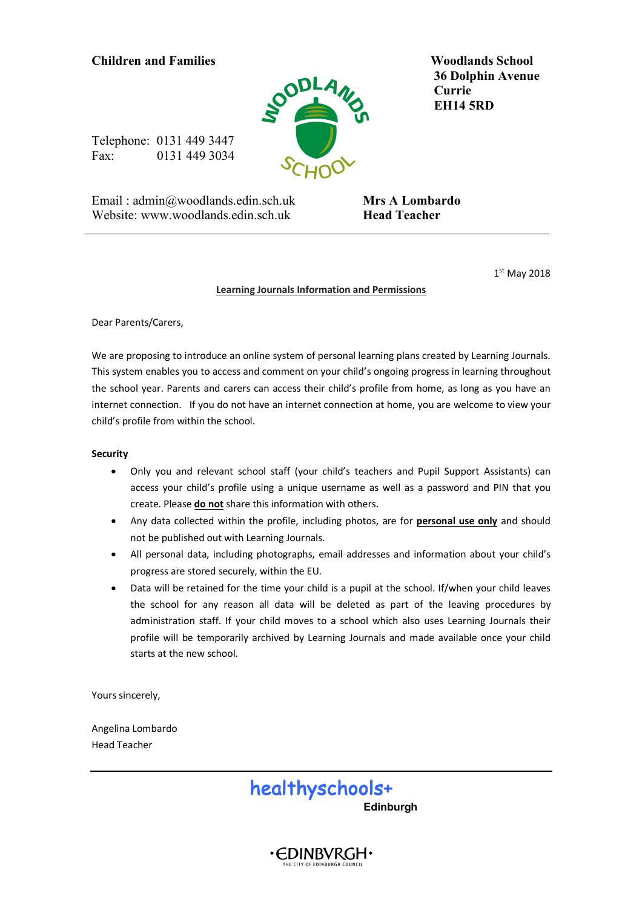# **Children and Families Woodlands School**



 **36 Dolphin Avenue Currie EH14 5RD**

Telephone: 0131 449 3447 Fax: 0131 449 3034

Email : admin@woodlands.edin.sch.uk Website: www.woodlands.edin.sch.uk

 **Mrs A Lombardo Head Teacher** 

1st May 2018

#### **Learning Journals Information and Permissions**

Dear Parents/Carers,

We are proposing to introduce an online system of personal learning plans created by Learning Journals. This system enables you to access and comment on your child's ongoing progress in learning throughout the school year. Parents and carers can access their child's profile from home, as long as you have an internet connection. If you do not have an internet connection at home, you are welcome to view your child's profile from within the school.

### **Security**

- Only you and relevant school staff (your child's teachers and Pupil Support Assistants) can access your child's profile using a unique username as well as a password and PIN that you create. Please **do not** share this information with others.
- Any data collected within the profile, including photos, are for **personal use only** and should not be published out with Learning Journals.
- All personal data, including photographs, email addresses and information about your child's progress are stored securely, within the EU.
- Data will be retained for the time your child is a pupil at the school. If/when your child leaves the school for any reason all data will be deleted as part of the leaving procedures by administration staff. If your child moves to a school which also uses Learning Journals their profile will be temporarily archived by Learning Journals and made available once your child starts at the new school.

Yours sincerely,

Angelina Lombardo Head Teacher



∙EDINBVRGH∙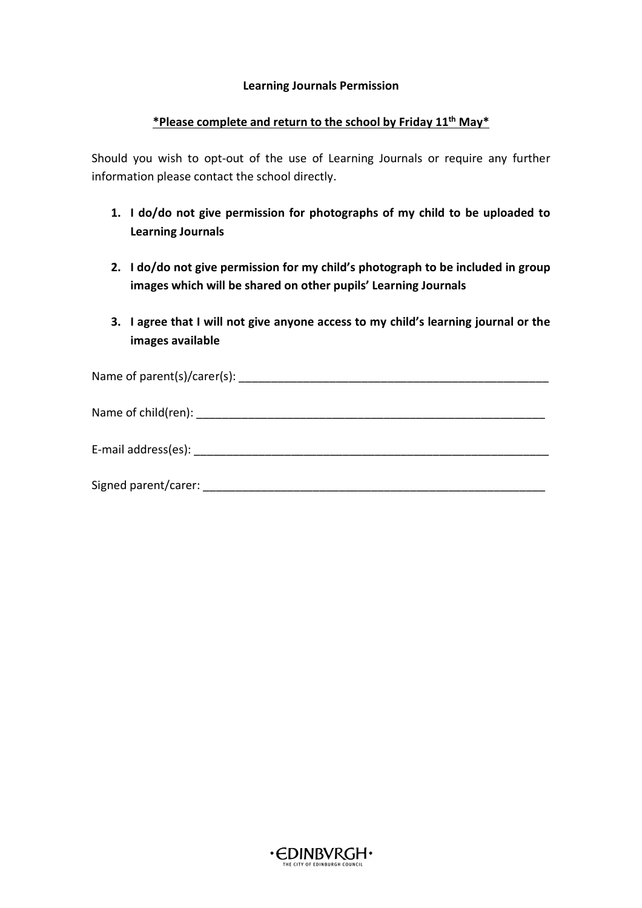### **Learning Journals Permission**

## **\*Please complete and return to the school by Friday 11th May\***

Should you wish to opt-out of the use of Learning Journals or require any further information please contact the school directly.

- **1. I do/do not give permission for photographs of my child to be uploaded to Learning Journals**
- **2. I do/do not give permission for my child's photograph to be included in group images which will be shared on other pupils' Learning Journals**
- **3. I agree that I will not give anyone access to my child's learning journal or the images available**

| Signed parent/carer: |
|----------------------|